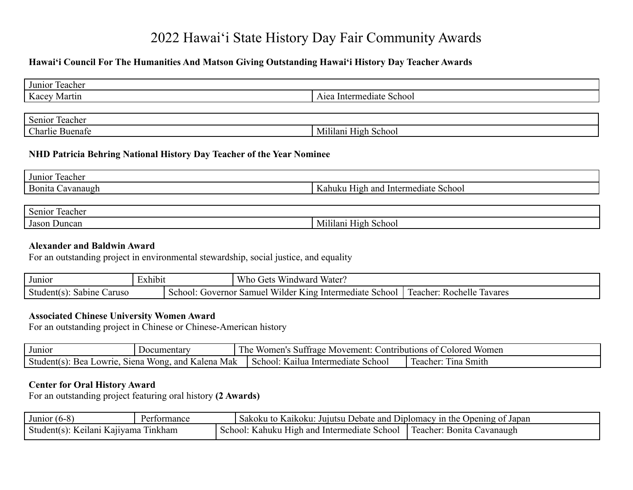# 2022 Hawaiʻi State History Day Fair Community Awards

# **Hawaiʻi Council For The Humanities And Matson Giving Outstanding Hawaiʻi History Day Teacher Awards**

| Junior Teacher  |                          |
|-----------------|--------------------------|
| Kacey Martin    | Aiea Intermediate School |
|                 |                          |
| Senior Teacher  |                          |
| Charlie Buenafe | Mililani High School     |

## **NHD Patricia Behring National History Day Teacher of the Year Nominee**

| $\sim$<br>Teacher<br>Junior                  |                                                                      |
|----------------------------------------------|----------------------------------------------------------------------|
| $\mathbf{r}$<br>Bonita<br>anaugr<br>ΩŦ<br>~⊿ | and<br>Intermediate<br>Schoo.<br>anı<br>'1σh.<br>$\mathbf{1}$<br>un. |

| $\sim$<br>$\sim$<br>Senior<br>eacher |                            |
|--------------------------------------|----------------------------|
| $\sim$<br>Jason<br>Duncan            | Schoo<br>M<br>10 h<br>ılan |

#### **Alexander and Baldwin Award**

For an outstanding project in environmental stewardship, social justice, and equality

| Junior                      | $\bullet$<br>txhibii |                            | $- - -$<br>$  -$<br>Water.<br>/ no<br>Gets<br>Windward                                    |                                 |
|-----------------------------|----------------------|----------------------------|-------------------------------------------------------------------------------------------|---------------------------------|
| ∠aruso<br>Sabine<br>Student |                      | ്ലറവ<br>$\sqrt{10}$ vernor | $- -$<br>King<br>Samuel<br>School<br>$\overline{\phantom{a}}$ interm<br>11der<br>.nediate | leacher:<br>lavares<br>Rochelle |

#### **Associated Chinese University Women Award**

For an outstanding project in Chinese or Chinese-American history

| Junior                                | Documentary                     | $\Gamma$<br>Women<br>Contributions of $\ell$<br>Colored<br>: Movement:<br>Women's<br>, ne<br>Suffrage |                                        |  |
|---------------------------------------|---------------------------------|-------------------------------------------------------------------------------------------------------|----------------------------------------|--|
| веа<br>Student(s)<br>Siena<br>Lowrie. | Mak<br>Kalena<br>Wong.<br>and . | School:<br>School<br>Kailua Intermediate                                                              | 1 <sub>1</sub> na<br>Smith<br>reacher: |  |

#### **Center for Oral History Award**

For an outstanding project featuring oral history **(2 Awards)**

| Junior $(6-8)$                       | Performance | Sakoku to Kaikoku: Jujutsu Debate and Diplomacy in the Opening of Japan |
|--------------------------------------|-------------|-------------------------------------------------------------------------|
| Student(s): Keilani Kajiyama Tinkham |             | School: Kahuku High and Intermediate School   Teacher: Bonita Cavanaugh |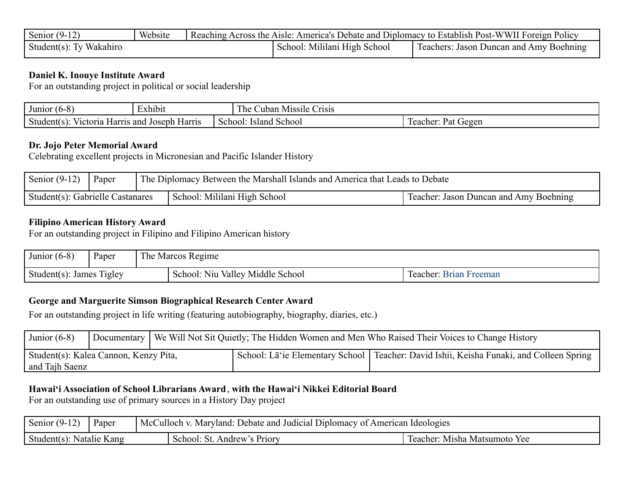| Senior $(9-1)$          | Website | Reaching Across the Aisle: America's Debate and Diplomacy to Establish Post-WWII Foreign Policy |                              |                                              |  |  |
|-------------------------|---------|-------------------------------------------------------------------------------------------------|------------------------------|----------------------------------------------|--|--|
| Student(s): Ty Wakahiro |         |                                                                                                 | School: Mililani High School | Teachers:<br>: Jason Duncan and Amy Boehning |  |  |

# **Daniel K. Inouye Institute Award**

For an outstanding project in political or social leadership

| $\sim$<br>Junior<br>$\mathbf{U}$<br>. Л<br>.                   | $\sim$<br>Exhibit |         | ı he<br><b>Crisis</b><br>∠uban<br>Missile |                                          |
|----------------------------------------------------------------|-------------------|---------|-------------------------------------------|------------------------------------------|
| victoria.<br>≅and ≀<br>. Joseph Harris<br>Student(s)<br>Harrıs |                   | School: | Island<br>School                          | $\sim$<br>Gegen<br>or.<br>Pat<br>Teacher |

# **Dr. Jojo Peter Memorial Award**

Celebrating excellent projects in Micronesian and Pacific Islander History

| Senior $(9-12)$                  | Paper | The Diplomacy Between the Marshall Islands and America that Leads to Debate |                                        |  |  |
|----------------------------------|-------|-----------------------------------------------------------------------------|----------------------------------------|--|--|
| Student(s): Gabrielle Castanares |       | School: Mililani High School                                                | Teacher: Jason Duncan and Amy Boehning |  |  |

# **Filipino American History Award**

For an outstanding project in Filipino and Filipino American history

| Junior $(6-8)$           | Paper | The Marcos Regime                |                        |  |
|--------------------------|-------|----------------------------------|------------------------|--|
| Student(s): James Tigley |       | School: Niu Valley Middle School | Teacher: Brian Freeman |  |

# **George and Marguerite Simson Biographical Research Center Award**

For an outstanding project in life writing (featuring autobiography, biography, diaries, etc.)

| Junior $(6-8)$                                          | Documentary   We Will Not Sit Quietly; The Hidden Women and Men Who Raised Their Voices to Change History |  |                                                                                                        |
|---------------------------------------------------------|-----------------------------------------------------------------------------------------------------------|--|--------------------------------------------------------------------------------------------------------|
| Student(s): Kalea Cannon, Kenzy Pita,<br>and Tajh Saenz |                                                                                                           |  | School: La <sup>t</sup> ie Elementary School   Teacher: David Ishii, Keisha Funaki, and Colleen Spring |

# **Hawaiʻi Association of School Librarians Award**, **with the Hawaiʻi Nikkei Editorial Board**

For an outstanding use of primary sources in a History Day project

| Senior $(9-1)$           | Paper | A McCulloch v. Maryland: Debate and Judicial Diplomacy of American Ideologies |                             |                              |
|--------------------------|-------|-------------------------------------------------------------------------------|-----------------------------|------------------------------|
| Student(s): Natalie Kang |       |                                                                               | School: St. Andrew's Priory | Teacher: Misha Matsumoto Yee |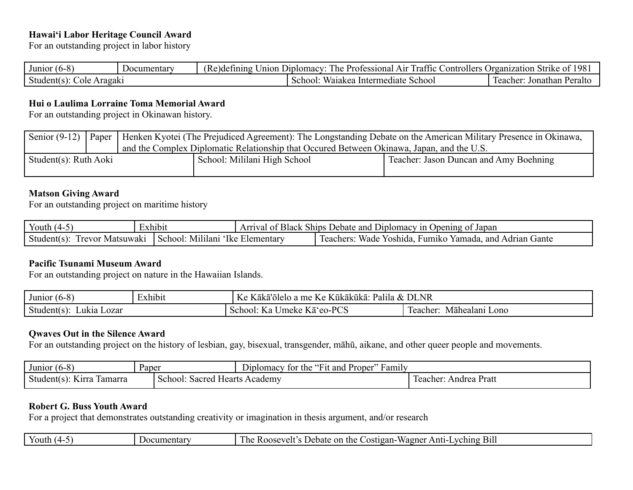# **Hawaiʻi Labor Heritage Council Award**

For an outstanding project in labor history

| Junior<br>.                               | nentar<br>Jocum | $\sim$<br>anıng<br>nion<br>Nζ | $\sim$<br>n.<br>Jiplomacy <sup>.</sup><br>A 1r<br>ontro<br>otessional<br>$\mathbf{\nu}$ r<br>i raf<br>-ne<br>TIC | .oller <sup>,</sup> | 1981<br>' Jrganiz<br>Strik)<br>zation |
|-------------------------------------------|-----------------|-------------------------------|------------------------------------------------------------------------------------------------------------------|---------------------|---------------------------------------|
| Aragakı<br>student(<br>ole<br>$\lambda$ 1 |                 |                               | School<br>$\sim$ $\sim$<br>Intermediate<br>∵ waiakea<br>Schoo                                                    |                     | Jonathan<br>eacher<br>'eraito         |

#### **Hui o Laulima Lorraine Toma Memorial Award**

For an outstanding project in Okinawan history.

|                       |  |                                                                                           | Senior (9-12)   Paper   Henken Kyotei (The Prejudiced Agreement): The Longstanding Debate on the American Military Presence in Okinawa, |  |  |  |
|-----------------------|--|-------------------------------------------------------------------------------------------|-----------------------------------------------------------------------------------------------------------------------------------------|--|--|--|
|                       |  | and the Complex Diplomatic Relationship that Occured Between Okinawa, Japan, and the U.S. |                                                                                                                                         |  |  |  |
| Student(s): Ruth Aoki |  | School: Mililani High School                                                              | Teacher: Jason Duncan and Amy Boehning                                                                                                  |  |  |  |

## **Matson Giving Award**

For an outstanding project on maritime history

| Youth $(4-$                         | Exhibit |                                    | <sup>1</sup> Arrival of Black Ships Debate and Diplomacy in Opening of Japan |  |  |
|-------------------------------------|---------|------------------------------------|------------------------------------------------------------------------------|--|--|
| Student $(s)$ :<br>Trevor Matsuwaki |         | I School: Mililani 'Ike Elementary | , Fumiko Yamada, and Adrian Gante<br>Wade Yoshida.<br>. leachers             |  |  |

#### **Pacific Tsunami Museum Award**

For an outstanding project on nature in the Hawaiian Islands.

| Junior<br>. 10-0             | $\sim$ $\sim$<br>±xhibi1 | $\boldsymbol{V}$<br>NR<br>---<br>DL.<br>ı me I<br>$\boldsymbol{\mathcal{X}}$<br>. Kukakuka <sup>.</sup><br>Palila<br>Kaka<br>olelo<br>-a<br>$\sqrt{ }$<br>$\mathbf{N}$<br>n t |                                                |
|------------------------------|--------------------------|-------------------------------------------------------------------------------------------------------------------------------------------------------------------------------|------------------------------------------------|
| Student(<br>. Lozar<br>Lukia |                          | DCC<br>$\mathbf{L}$<br>Jmeke<br>$\Delta$<br>School:<br>Ka<br>$\sqrt{ }$<br>- Na<br>-cu<br>.                                                                                   | $\overline{ }$<br>Māhealanı<br>Lono<br>eacher: |

### **Qwaves Out in the Silence Award**

For an outstanding project on the history of lesbian, gay, bisexual, transgender, māhū, aikane, and other queer people and movements.

| $(6-8)$<br>Junior             | Paper                         | Diplomacy for the "Fit and Proper"<br>Family |                       |
|-------------------------------|-------------------------------|----------------------------------------------|-----------------------|
| Student(s): Kirra<br>-lamarra | School: Sacred Hearts Academy |                                              | Teacher: Andrea Pratt |

# **Robert G. Buss Youth Award**

For a project that demonstrates outstanding creativity or imagination in thesis argument, and/or research

| $\cdot$ | tor<br>.<br>на | $\overline{\phantom{0}}$<br>A nt<br>the<br>Jebate<br>vching<br>- B11.<br>`ostigan-<br>- Or<br>wagnei<br>ne<br>300S<br>к<br>$\eta$<br>.<br>riit |
|---------|----------------|------------------------------------------------------------------------------------------------------------------------------------------------|
|---------|----------------|------------------------------------------------------------------------------------------------------------------------------------------------|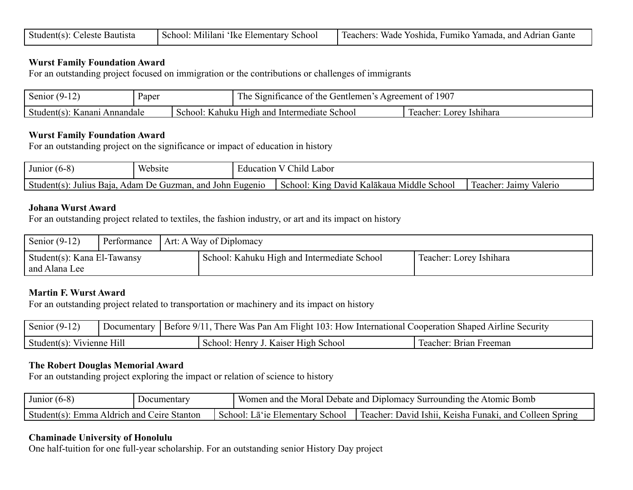| Student(s): Celeste Bautista |  | School: Mililani 'Ike Elementary School   Teachers: Wade Yoshida, Fumiko Yamada, and Adrian Gante |
|------------------------------|--|---------------------------------------------------------------------------------------------------|
|------------------------------|--|---------------------------------------------------------------------------------------------------|

#### **Wurst Family Foundation Award**

For an outstanding project focused on immigration or the contributions or challenges of immigrants

| $\mathbf{A}$<br>Senior                                | Paper |                                        | The.<br>1907<br>Gentlemen<br>the<br>Significance of<br>Agreement of |          |  |
|-------------------------------------------------------|-------|----------------------------------------|---------------------------------------------------------------------|----------|--|
| Student(s<br>Kanani<br>Annandale<br>Kahuku<br>School: |       | School<br>High and<br>. Intermediate ' | Teacher:<br>Lorey                                                   | Ishihara |  |

#### **Wurst Family Foundation Award**

For an outstanding project on the significance or impact of education in history

| $\sim$<br>Junior<br><b>10-0</b>                                                            | Website |  | Child<br>Labor<br>ducation                                                       |                                    |
|--------------------------------------------------------------------------------------------|---------|--|----------------------------------------------------------------------------------|------------------------------------|
| and<br>Eugen <sub>10</sub><br>Adam De<br>Student(s)<br>Baia.<br>. John<br>Julius<br>Guzman |         |  | $\mathbf{v}$<br>1ddle<br>K ıng<br>Schoo.<br>School:<br>David<br>Kalakaua<br>-IVI | Jaim<br>Teacher:<br><i>valerio</i> |

### **Johana Wurst Award**

For an outstanding project related to textiles, the fashion industry, or art and its impact on history

| Senior $(9-12)$                              | Performance | Art: A Way of Diplomacy                     |                         |  |  |  |
|----------------------------------------------|-------------|---------------------------------------------|-------------------------|--|--|--|
| Student(s): Kana El-Tawansy<br>and Alana Lee |             | School: Kahuku High and Intermediate School | Teacher: Lorey Ishihara |  |  |  |

#### **Martin F. Wurst Award**

For an outstanding project related to transportation or machinery and its impact on history

| Senior $(9-12)$           | Documentary | Before 9/11, There Was Pan Am Flight 103: How International Cooperation Shaped Airline Security |                        |
|---------------------------|-------------|-------------------------------------------------------------------------------------------------|------------------------|
| Student(s): Vivienne Hill |             | School: Henry J. Kaiser High School                                                             | Teacher: Brian Freeman |

#### **The Robert Douglas Memorial Award**

For an outstanding project exploring the impact or relation of science to history

| Junior<br>ี เก-×                                          | ecumentary |        | Women and<br>Bomb<br>Moral<br>. Diplomacy "<br>Debate and<br>`Atomic<br>Surrounding the<br>the N |                                                                                  |  |
|-----------------------------------------------------------|------------|--------|--------------------------------------------------------------------------------------------------|----------------------------------------------------------------------------------|--|
| Student(<br>Ceire<br>Stanton<br>. and<br>Aldrich<br>Emma. |            | School | School<br>Elementary<br>a je                                                                     | Funaki<br>and<br>Keisha<br>Spring<br>Teacher:<br>- ISh11.<br>Uavid.<br>. olleen. |  |

#### **Chaminade University of Honolulu**

One half-tuition for one full-year scholarship. For an outstanding senior History Day project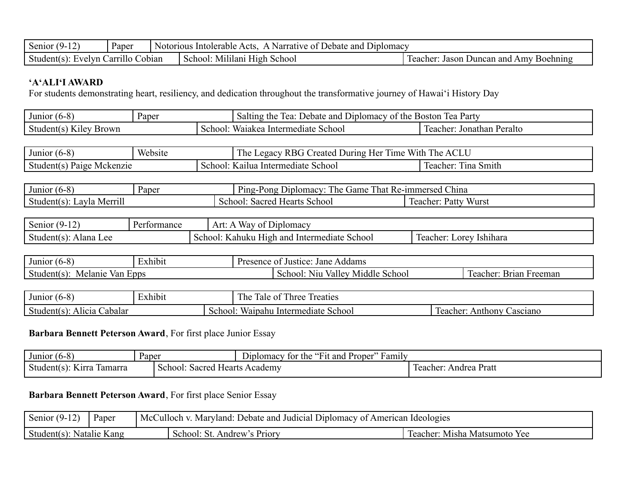| Senior                                       | Paper | ⊃ipiomacv<br>and<br>Intolerable<br>Narrative<br>Notorious<br>Debate :<br>Δ ∩te<br>- OT |                                                       |  |  |
|----------------------------------------------|-------|----------------------------------------------------------------------------------------|-------------------------------------------------------|--|--|
| Student(<br>Cobian<br>∴arr•<br>velyn<br>1HO. |       | School<br>Muluani<br>H12h<br>School                                                    | Boehning<br>leacher:<br>and<br>Amv<br>Jason<br>Duncan |  |  |

# **'A'ALI'I AWARD**

For students demonstrating heart, resiliency, and dedication throughout the transformative journey of Hawaiʻi History Day

| Junior<br>. V.                                             | Paper |                                  | : and<br>Salting<br>D <sub>1</sub> D <sub>1</sub> D <sub>1</sub> D <sub>1</sub> D <sub>1</sub> D <sub>1</sub> O <sub>1</sub> O <sub>1</sub> O <sub>1</sub> O <sub>1</sub><br>Party<br><b>Boston</b><br>the<br>മ<br>lea<br>Debate<br>the<br>ОT<br>∙ Ca |  |  |
|------------------------------------------------------------|-------|----------------------------------|-------------------------------------------------------------------------------------------------------------------------------------------------------------------------------------------------------------------------------------------------------|--|--|
| <b>Brown</b><br>Kilev <sub>.</sub><br>Student(s<br>school: |       | School<br>Intermediate<br>aiakea | Peralto<br>Jonathan<br>reacher                                                                                                                                                                                                                        |  |  |

| Junior<br>. ከ-ሾ | Website |         | T1<br>With<br>RBG C<br>l 1me<br>l he<br>reated<br>egacy<br>During<br>. Her | T <sub>1</sub><br><b>ACLU</b><br>he |
|-----------------|---------|---------|----------------------------------------------------------------------------|-------------------------------------|
| Paige           |         | School: | School                                                                     | na l                                |
| Student(s       |         |         | Intermediate                                                               | Smith                               |
| Mckenzie        |         |         | Kailua                                                                     | Teacher:                            |

| Junior<br>u o -o i  | Paper | тu<br>m<br>$\mathbf{r}$<br>Game<br>. ne<br>$P$ <sub>102</sub> -<br>-Pong-<br>Diplomacy<br>1 hat<br>$\mathbf{v}$<br><b>KC</b> | $\sim$ 1<br>China<br>∠-immersed<br>'seu c |  |  |
|---------------------|-------|------------------------------------------------------------------------------------------------------------------------------|-------------------------------------------|--|--|
| $\bullet$ $\bullet$ |       | Sacred                                                                                                                       | Teacher                                   |  |  |
| Student $(s)$ :     |       | Hearts School                                                                                                                | Wurst                                     |  |  |
| . Lavia Merril      |       | School                                                                                                                       | ™atty                                     |  |  |

| $\sim$<br>Senior<br>ฯ− .<br>+ ⊥     | $D_{\alpha}$<br>rmance | $\sim$ $\sim$<br>$\mathbf{v}$<br>Art.<br>lomacv<br>$_{\rm nr}$<br>wa |                                                    |
|-------------------------------------|------------------------|----------------------------------------------------------------------|----------------------------------------------------|
| $\sim$<br>Alana<br>Student(s<br>Lee |                        | School<br>and<br>Intermediate<br>Kanuku<br>School:<br>H10 h          | $\mathbf{r}$<br>Teacher:<br>$L$ . Orev<br>Ushihara |

| Junior<br>$.0 - C$                      | $\cdot$ 1<br>Exhibit | Jane<br>Addams<br>.stice <sup>.</sup><br>Presence<br>−JUS⊤<br>- 12 |                                               |                            |
|-----------------------------------------|----------------------|--------------------------------------------------------------------|-----------------------------------------------|----------------------------|
| $\sim$<br>van<br>Student(s).<br>Melanie | <b>Epps</b>          |                                                                    | Middle<br>valley.<br>School.<br>School<br>Niu | Brian<br>Freeman<br>eacher |

| Junior<br>$\mathbf{u}$                   | $\sim$ $\sim$<br>Exhibit |             | $\sim$<br>2.77<br>$\Gamma$<br>$\overline{\phantom{a}}$<br>reaties<br>$\text{Inrec}$<br>.ne<br>ale |                                        |
|------------------------------------------|--------------------------|-------------|---------------------------------------------------------------------------------------------------|----------------------------------------|
| $\sim$<br>Jabalar<br>Student(s)<br>Апсіа |                          | <b>Choo</b> | School<br>Waipahu<br>Intermediate                                                                 | $\sim$<br>Anthony<br>asciano<br>eacher |

# **Barbara Bennett Peterson Award**, For first place Junior Essay

| Junior<br>. O-6                    | Paper  | Diplomacy<br>-tor                         | <br>+1t and<br>. Proper<br>the | $\cdots$<br>≁amılv |                                                |
|------------------------------------|--------|-------------------------------------------|--------------------------------|--------------------|------------------------------------------------|
| Student(<br>l amarra<br>1rra<br>ıа | school | Sacred<br>Academy<br>. Heart <sup>e</sup> |                                |                    | <b>CONTINUES</b><br>Prati<br>reacher<br>Andrea |

# **Barbara Bennett Peterson Award**, For first place Senior Essay

| $\mathbf{A}$<br>$\sqrt{2}$<br>Senior<br>Y. | Paper | : Debate and Judicial<br>American<br>Diplomacy<br>Marviand:<br>McC<br>tulloch.<br>` OT | Ideologies                           |
|--------------------------------------------|-------|----------------------------------------------------------------------------------------|--------------------------------------|
| Kang<br>Natalie<br>Student(s)              |       | Andrew<br><b>Priory</b><br>school<br>7L.                                               | Misha<br>eacher:<br>Yee<br>Matsumoto |